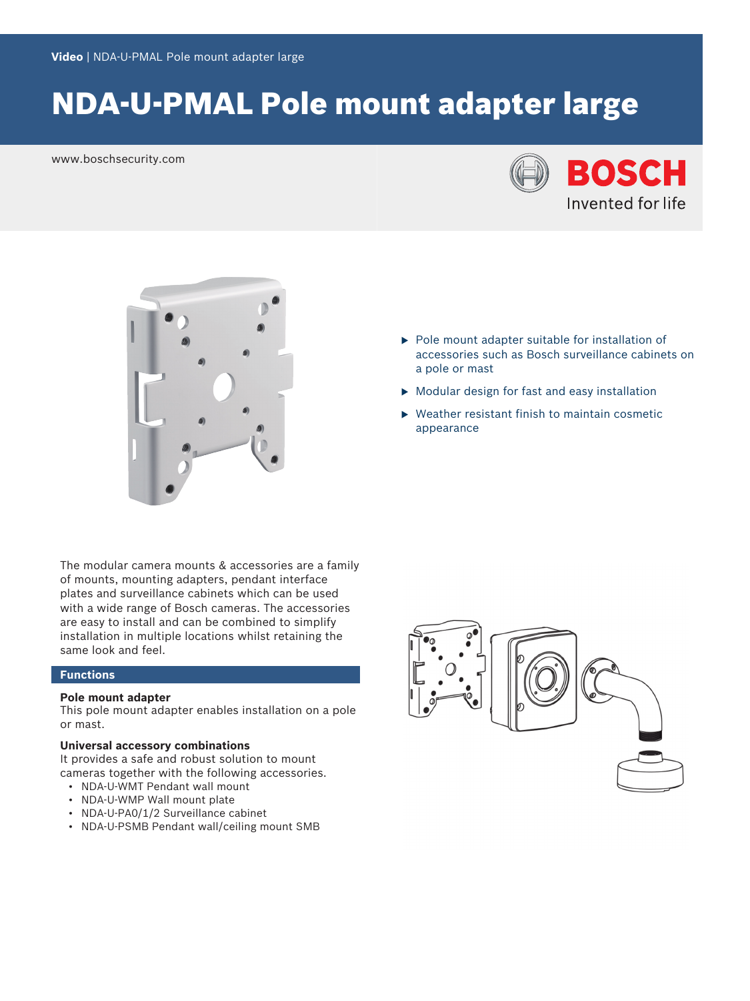# NDA-U-PMAL Pole mount adapter large

www.boschsecurity.com





The modular camera mounts & accessories are a family of mounts, mounting adapters, pendant interface plates and surveillance cabinets which can be used with a wide range of Bosch cameras. The accessories are easy to install and can be combined to simplify installation in multiple locations whilst retaining the same look and feel.

#### **Functions**

#### **Pole mount adapter**

This pole mount adapter enables installation on a pole or mast.

#### **Universal accessory combinations**

It provides a safe and robust solution to mount cameras together with the following accessories.

- NDA-U-WMT Pendant wall mount
- NDA-U-WMP Wall mount plate
- NDA-U-PA0/1/2 Surveillance cabinet
- NDA-U-PSMB Pendant wall/ceiling mount SMB
- accessories such as Bosch surveillance cabinets on a pole or mast
- $\triangleright$  Modular design for fast and easy installation

 $\blacktriangleright$  Pole mount adapter suitable for installation of

Weather resistant finish to maintain cosmetic appearance

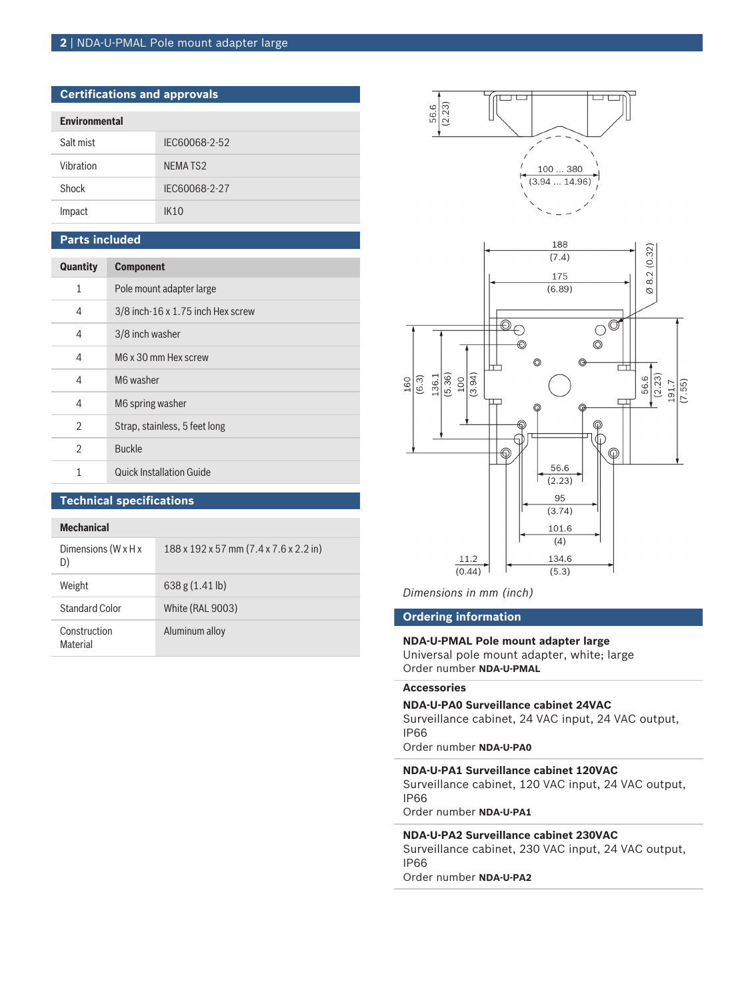#### **2** | NDA-U-PMAL Pole mount adapter large

| <b>Certifications and approvals</b> |                |  |
|-------------------------------------|----------------|--|
| <b>Environmental</b>                |                |  |
| Salt mist                           | IEC60068-2-52  |  |
| Vibration                           | <b>NEMATS2</b> |  |
| Shock                               | IEC60068-2-27  |  |
| Impact                              | IK10           |  |

#### **Parts included**

| Quantity       | <b>Component</b>                  |
|----------------|-----------------------------------|
| $\mathbf{1}$   | Pole mount adapter large          |
| 4              | 3/8 inch-16 x 1.75 inch Hex screw |
| 4              | 3/8 inch washer                   |
| 4              | M6 x 30 mm Hex screw              |
| 4              | M6 washer                         |
| 4              | M6 spring washer                  |
| $\overline{2}$ | Strap, stainless, 5 feet long     |
| $\overline{2}$ | <b>Buckle</b>                     |
| 1              | <b>Quick Installation Guide</b>   |

#### **Technical specifications**

#### **Mechanical**

| Dimensions (W x H x<br>D)       | 188 x 192 x 57 mm (7.4 x 7.6 x 2.2 in) |
|---------------------------------|----------------------------------------|
| Weight                          | $638g(1.41 \text{ lb})$                |
| Standard Color                  | <b>White (RAL 9003)</b>                |
| Construction<br><b>Material</b> | Aluminum alloy                         |



*Dimensions in mm (inch)*

#### **Ordering information**

#### **NDA-U-PMAL Pole mount adapter large**

Universal pole mount adapter, white; large Order number **NDA-U-PMAL**

### **Accessories**

**NDA-U-PA0 Surveillance cabinet 24VAC**

Surveillance cabinet, 24 VAC input, 24 VAC output, IP66

Order number **NDA-U-PA0**

**NDA-U-PA1 Surveillance cabinet 120VAC** Surveillance cabinet, 120 VAC input, 24 VAC output, IP66 Order number **NDA-U-PA1**

#### **NDA-U-PA2 Surveillance cabinet 230VAC**

Surveillance cabinet, 230 VAC input, 24 VAC output, IP66 Order number **NDA-U-PA2**